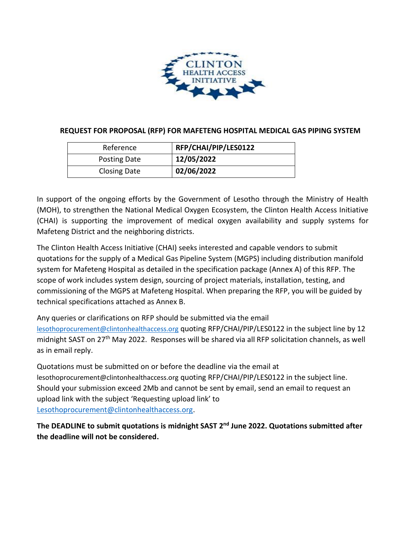

## **REQUEST FOR PROPOSAL (RFP) FOR MAFETENG HOSPITAL MEDICAL GAS PIPING SYSTEM**

| Reference           | RFP/CHAI/PIP/LES0122 |
|---------------------|----------------------|
| <b>Posting Date</b> | 12/05/2022           |
| <b>Closing Date</b> | 02/06/2022           |

In support of the ongoing efforts by the Government of Lesotho through the Ministry of Health (MOH), to strengthen the National Medical Oxygen Ecosystem, the Clinton Health Access Initiative (CHAI) is supporting the improvement of medical oxygen availability and supply systems for Mafeteng District and the neighboring districts.

The Clinton Health Access Initiative (CHAI) seeks interested and capable vendors to submit quotations for the supply of a Medical Gas Pipeline System (MGPS) including distribution manifold system for Mafeteng Hospital as detailed in the specification package (Annex A) of this RFP. The scope of work includes system design, sourcing of project materials, installation, testing, and commissioning of the MGPS at Mafeteng Hospital. When preparing the RFP, you will be guided by technical specifications attached as Annex B.

Any queries or clarifications on RFP should be submitted via the email [lesothoprocurement@clintonhealthaccess.org](file:///C:/Users/mkhati/AppData/Local/Microsoft/Windows/INetCache/Content.Outlook/VZ97S4XI/lesothoprocurement@clintonhealthaccess.org) quoting RFP/CHAI/PIP/LES0122 in the subject line by 12 midnight SAST on 27<sup>th</sup> May 2022. Responses will be shared via all RFP solicitation channels, as well as in email reply.

Quotations must be submitted on or before the deadline via the email at lesothoprocurement@clintonhealthaccess.org quoting RFP/CHAI/PIP/LES0122 in the subject line. Should your submission exceed 2Mb and cannot be sent by email, send an email to request an upload link with the subject 'Requesting upload link' to [Lesothoprocurement@clintonhealthaccess.org.](mailto:Lesothoprocurement@clintonhealthaccess.org)

**The DEADLINE to submit quotations is midnight SAST 2 nd June 2022. Quotations submitted after the deadline will not be considered.**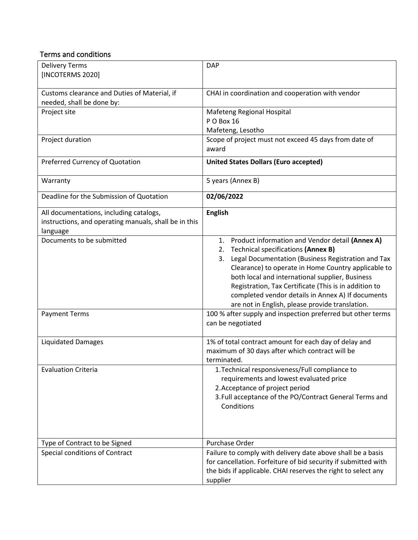## Terms and conditions

| <b>Delivery Terms</b><br>[INCOTERMS 2020]                                                                    | <b>DAP</b>                                                                                                                                                                                                                                                                                                                                                                                                                               |  |  |
|--------------------------------------------------------------------------------------------------------------|------------------------------------------------------------------------------------------------------------------------------------------------------------------------------------------------------------------------------------------------------------------------------------------------------------------------------------------------------------------------------------------------------------------------------------------|--|--|
| Customs clearance and Duties of Material, if<br>needed, shall be done by:                                    | CHAI in coordination and cooperation with vendor                                                                                                                                                                                                                                                                                                                                                                                         |  |  |
| Project site                                                                                                 | Mafeteng Regional Hospital<br>PO Box 16<br>Mafeteng, Lesotho                                                                                                                                                                                                                                                                                                                                                                             |  |  |
| Project duration                                                                                             | Scope of project must not exceed 45 days from date of<br>award                                                                                                                                                                                                                                                                                                                                                                           |  |  |
| Preferred Currency of Quotation                                                                              | <b>United States Dollars (Euro accepted)</b>                                                                                                                                                                                                                                                                                                                                                                                             |  |  |
| Warranty                                                                                                     | 5 years (Annex B)                                                                                                                                                                                                                                                                                                                                                                                                                        |  |  |
| Deadline for the Submission of Quotation                                                                     | 02/06/2022                                                                                                                                                                                                                                                                                                                                                                                                                               |  |  |
| All documentations, including catalogs,<br>instructions, and operating manuals, shall be in this<br>language | <b>English</b>                                                                                                                                                                                                                                                                                                                                                                                                                           |  |  |
| Documents to be submitted                                                                                    | Product information and Vendor detail (Annex A)<br>1.<br>Technical specifications (Annex B)<br>2.<br>Legal Documentation (Business Registration and Tax<br>3.<br>Clearance) to operate in Home Country applicable to<br>both local and international supplier, Business<br>Registration, Tax Certificate (This is in addition to<br>completed vendor details in Annex A) If documents<br>are not in English, please provide translation. |  |  |
| <b>Payment Terms</b>                                                                                         | 100 % after supply and inspection preferred but other terms<br>can be negotiated                                                                                                                                                                                                                                                                                                                                                         |  |  |
| <b>Liquidated Damages</b>                                                                                    | 1% of total contract amount for each day of delay and<br>maximum of 30 days after which contract will be<br>terminated.                                                                                                                                                                                                                                                                                                                  |  |  |
| <b>Evaluation Criteria</b>                                                                                   | 1. Technical responsiveness/Full compliance to<br>requirements and lowest evaluated price<br>2. Acceptance of project period<br>3. Full acceptance of the PO/Contract General Terms and<br>Conditions                                                                                                                                                                                                                                    |  |  |
| Type of Contract to be Signed                                                                                | Purchase Order                                                                                                                                                                                                                                                                                                                                                                                                                           |  |  |
| Special conditions of Contract                                                                               | Failure to comply with delivery date above shall be a basis<br>for cancellation. Forfeiture of bid security if submitted with<br>the bids if applicable. CHAI reserves the right to select any<br>supplier                                                                                                                                                                                                                               |  |  |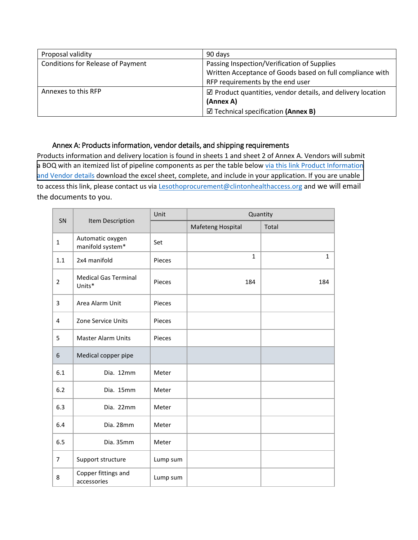| Proposal validity                        | 90 days                                                               |  |
|------------------------------------------|-----------------------------------------------------------------------|--|
| <b>Conditions for Release of Payment</b> | Passing Inspection/Verification of Supplies                           |  |
|                                          | Written Acceptance of Goods based on full compliance with             |  |
|                                          | RFP requirements by the end user                                      |  |
| Annexes to this RFP                      | $\boxtimes$ Product quantities, vendor details, and delivery location |  |
|                                          | (Annex A)                                                             |  |
|                                          | $\boxtimes$ Technical specification (Annex B)                         |  |

## Annex A: Products information, vendor details, and shipping requirements

Products information and delivery location is found in sheets 1 and sheet 2 of Annex A. Vendors will submit [a BOQ with an itemized list of pipeline components as per the table below](https://3cdmh310dov3470e6x160esb-wpengine.netdna-ssl.com/wp-content/uploads/2022/05/Annex-A-Product-information-and-timelines_Mafeteng.xlsx) [via this link Product Information](https://clintonhealth.box.com/s/0d3jvyk9m6dv8ywbbnyduj62oub7qvlk) [and Vendor details](https://clintonhealth.box.com/s/0d3jvyk9m6dv8ywbbnyduj62oub7qvlk) download the excel sheet, complete, and include in your application. If you are unable to access this link, please contact us via **Lesothoprocurement@clintonhealthaccess.org** and we will email the documents to you.

| SN             | Item Description                      | Unit     | Quantity          |              |
|----------------|---------------------------------------|----------|-------------------|--------------|
|                |                                       |          | Mafeteng Hospital | Total        |
| $\mathbf{1}$   | Automatic oxygen<br>manifold system*  | Set      |                   |              |
| $1.1\,$        | 2x4 manifold                          | Pieces   | $\mathbf{1}$      | $\mathbf{1}$ |
| $\overline{2}$ | <b>Medical Gas Terminal</b><br>Units* | Pieces   | 184               | 184          |
| 3              | Area Alarm Unit                       | Pieces   |                   |              |
| 4              | Zone Service Units                    | Pieces   |                   |              |
| 5              | <b>Master Alarm Units</b>             | Pieces   |                   |              |
| 6              | Medical copper pipe                   |          |                   |              |
| 6.1            | Dia. 12mm                             | Meter    |                   |              |
| 6.2            | Dia. 15mm                             | Meter    |                   |              |
| 6.3            | Dia. 22mm                             | Meter    |                   |              |
| 6.4            | Dia. 28mm                             | Meter    |                   |              |
| 6.5            | Dia. 35mm                             | Meter    |                   |              |
| $\overline{7}$ | Support structure                     | Lump sum |                   |              |
| 8              | Copper fittings and<br>accessories    | Lump sum |                   |              |